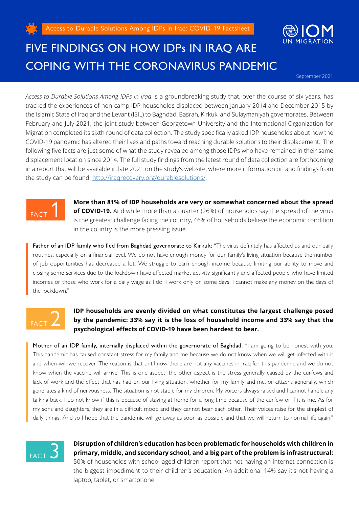



## FIVE FINDINGS ON HOW IDPs IN IRAQ ARE COPING WITH THE CORONAVIRUS PANDEMIC

September 2021

*Access to Durable Solutions Among IDPs in Iraq* is a groundbreaking study that, over the course of six years, has tracked the experiences of non-camp IDP households displaced between January 2014 and December 2015 by the Islamic State of Iraq and the Levant (ISIL) to Baghdad, Basrah, Kirkuk, and Sulaymaniyah governorates. Between February and July 2021, the joint study between Georgetown University and the International Organization for Migration completed its sixth round of data collection. The study specifically asked IDP households about how the COVID-19 pandemic has altered their lives and paths toward reaching durable solutions to their displacement. The following five facts are just some of what the study revealed among those IDPs who have remained in their same displacement location since 2014. The full study findings from the latest round of data collection are forthcoming in a report that will be available in late 2021 on the study's website, where more information on and findings from the study can be found: [http://iraqrecovery.org/durablesolutions/.](http://iraqrecovery.org/durablesolutions/)



**More than 81% of IDP households are very or somewhat concerned about the spread of COVID-19.** And while more than a quarter (26%) of households say the spread of the virus is the greatest challenge facing the country, 46% of households believe the economic condition in the country is the more pressing issue.

Father of an IDP family who fled from Baghdad governorate to Kirkuk: "The virus definitely has affected us and our daily routines, especially on a financial level. We do not have enough money for our family's living situation because the number of job opportunities has decreased a lot. We struggle to earn enough income because limiting our ability to move and closing some services due to the lockdown have affected market activity significantly and affected people who have limited incomes or those who work for a daily wage as I do. I work only on some days. I cannot make any money on the days of the lockdown."



## **IDP households are evenly divided on what constitutes the largest challenge posed by the pandemic: 33% say it is the loss of household income and 33% say that the psychological effects of COVID-19 have been hardest to bear.**

Mother of an IDP family, internally displaced within the governorate of Baghdad: "I am going to be honest with you. This pandemic has caused constant stress for my family and me because we do not know when we will get infected with it and when will we recover. The reason is that until now there are not any vaccines in Iraq for this pandemic and we do not know when the vaccine will arrive. This is one aspect, the other aspect is the stress generally caused by the curfews and lack of work and the effect that has had on our living situation, whether for my family and me, or citizens generally, which generates a kind of nervousness. The situation is not stable for my children. My voice is always raised and I cannot handle any talking back. I do not know if this is because of staying at home for a long time because of the curfew or if it is me. As for my sons and daughters, they are in a difficult mood and they cannot bear each other. Their voices raise for the simplest of daily things. And so I hope that the pandemic will go away as soon as possible and that we will return to normal life again."



**Disruption of children's education has been problematic for households with children in primary, middle, and secondary school, and a big part of the problem is infrastructural:**  50% of households with school-aged children report that not having an internet connection is the biggest impediment to their children's education. An additional 14% say it's not having a laptop, tablet, or smartphone.